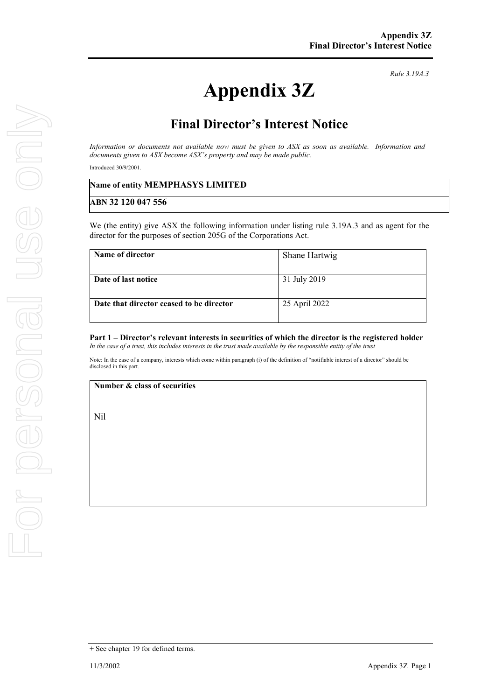# **Appendix 3Z**

*Rule 3.19A.3*

### **Final Director's Interest Notice**

*Information or documents not available now must be given to ASX as soon as available. Information and documents given to ASX become ASX's property and may be made public.*

Introduced 30/9/2001.

## **Name of entity MEMPHASYS LIMITED ABN 32 120 047 556**

We (the entity) give ASX the following information under listing rule 3.19A.3 and as agent for the director for the purposes of section 205G of the Corporations Act.

| Name of director                         | Shane Hartwig |
|------------------------------------------|---------------|
| Date of last notice                      | 31 July 2019  |
|                                          |               |
| Date that director ceased to be director | 25 April 2022 |
|                                          |               |

#### **Part 1 – Director's relevant interests in securities of which the director is the registered holder** *In the case of a trust, this includes interests in the trust made available by the responsible entity of the trust*

Note: In the case of a company, interests which come within paragraph (i) of the definition of "notifiable interest of a director" should be disclosed in this part.

#### **Number & class of securities**

Nil

<sup>+</sup> See chapter 19 for defined terms.